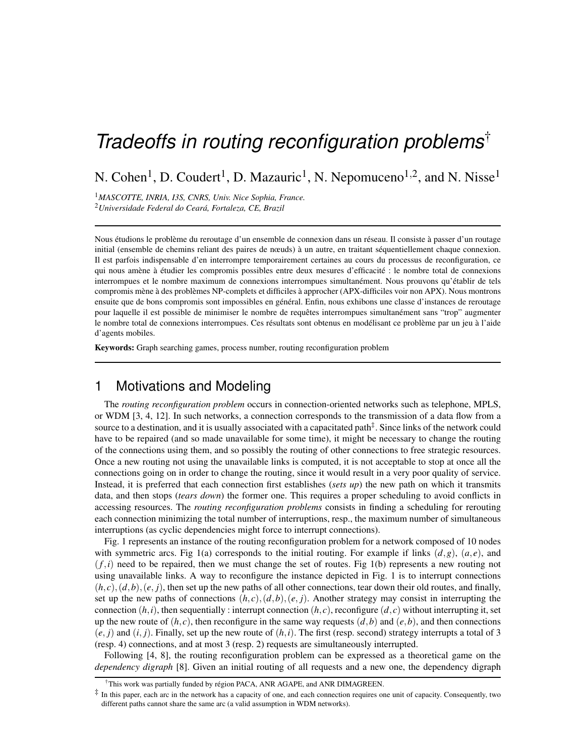# *Tradeoffs in routing reconfiguration problems*†

N. Cohen<sup>1</sup>, D. Coudert<sup>1</sup>, D. Mazauric<sup>1</sup>, N. Nepomuceno<sup>1,2</sup>, and N. Nisse<sup>1</sup>

<sup>1</sup>*MASCOTTE, INRIA, I3S, CNRS, Univ. Nice Sophia, France.* <sup>2</sup>*Universidade Federal do Ceara, Fortaleza, CE, Brazil ´*

Nous étudions le problème du reroutage d'un ensemble de connexion dans un réseau. Il consiste à passer d'un routage initial (ensemble de chemins reliant des paires de nœuds) à un autre, en traitant séquentiellement chaque connexion. Il est parfois indispensable d'en interrompre temporairement certaines au cours du processus de reconfiguration, ce qui nous amène à étudier les compromis possibles entre deux mesures d'efficacité : le nombre total de connexions interrompues et le nombre maximum de connexions interrompues simultanément. Nous prouvons qu'établir de tels compromis mène à des problèmes NP-complets et difficiles à approcher (APX-difficiles voir non APX). Nous montrons ensuite que de bons compromis sont impossibles en général. Enfin, nous exhibons une classe d'instances de reroutage pour laquelle il est possible de minimiser le nombre de requêtes interrompues simultanément sans "trop" augmenter le nombre total de connexions interrompues. Ces résultats sont obtenus en modélisant ce problème par un jeu à l'aide d'agents mobiles.

Keywords: Graph searching games, process number, routing reconfiguration problem

## 1 Motivations and Modeling

The *routing reconfiguration problem* occurs in connection-oriented networks such as telephone, MPLS, or WDM [3, 4, 12]. In such networks, a connection corresponds to the transmission of a data flow from a source to a destination, and it is usually associated with a capacitated path<sup>‡</sup>. Since links of the network could have to be repaired (and so made unavailable for some time), it might be necessary to change the routing of the connections using them, and so possibly the routing of other connections to free strategic resources. Once a new routing not using the unavailable links is computed, it is not acceptable to stop at once all the connections going on in order to change the routing, since it would result in a very poor quality of service. Instead, it is preferred that each connection first establishes (*sets up*) the new path on which it transmits data, and then stops (*tears down*) the former one. This requires a proper scheduling to avoid conflicts in accessing resources. The *routing reconfiguration problems* consists in finding a scheduling for rerouting each connection minimizing the total number of interruptions, resp., the maximum number of simultaneous interruptions (as cyclic dependencies might force to interrupt connections).

Fig. 1 represents an instance of the routing reconfiguration problem for a network composed of 10 nodes with symmetric arcs. Fig 1(a) corresponds to the initial routing. For example if links  $(d, g)$ ,  $(a, e)$ , and  $(f,i)$  need to be repaired, then we must change the set of routes. Fig 1(b) represents a new routing not using unavailable links. A way to reconfigure the instance depicted in Fig. 1 is to interrupt connections  $(h, c), (d, b), (e, j)$ , then set up the new paths of all other connections, tear down their old routes, and finally, set up the new paths of connections  $(h, c), (d, b), (e, j)$ . Another strategy may consist in interrupting the connection  $(h, i)$ , then sequentially : interrupt connection  $(h, c)$ , reconfigure  $(d, c)$  without interrupting it, set up the new route of  $(h, c)$ , then reconfigure in the same way requests  $(d, b)$  and  $(e, b)$ , and then connections  $(e, j)$  and  $(i, j)$ . Finally, set up the new route of  $(h, i)$ . The first (resp. second) strategy interrupts a total of 3 (resp. 4) connections, and at most 3 (resp. 2) requests are simultaneously interrupted.

Following [4, 8], the routing reconfiguration problem can be expressed as a theoretical game on the *dependency digraph* [8]. Given an initial routing of all requests and a new one, the dependency digraph

<sup>&</sup>lt;sup>†</sup>This work was partially funded by région PACA, ANR AGAPE, and ANR DIMAGREEN.

 $\ddot{\ddot{\cdot}}$  In this paper, each arc in the network has a capacity of one, and each connection requires one unit of capacity. Consequently, two different paths cannot share the same arc (a valid assumption in WDM networks).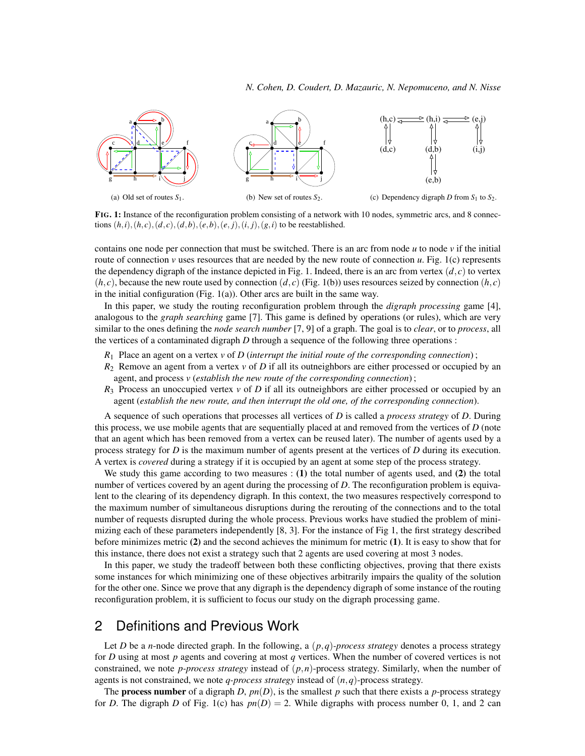

FIG. 1: Instance of the reconfiguration problem consisting of a network with 10 nodes, symmetric arcs, and 8 connections  $(h, i), (h, c), (d, c), (d, b), (e, b), (e, j), (i, j), (g, i)$  to be reestablished.

contains one node per connection that must be switched. There is an arc from node *u* to node *v* if the initial route of connection *v* uses resources that are needed by the new route of connection *u*. Fig. 1(c) represents the dependency digraph of the instance depicted in Fig. 1. Indeed, there is an arc from vertex  $(d, c)$  to vertex  $(h, c)$ , because the new route used by connection  $(d, c)$  (Fig. 1(b)) uses resources seized by connection  $(h, c)$ in the initial configuration (Fig. 1(a)). Other arcs are built in the same way.

In this paper, we study the routing reconfiguration problem through the *digraph processing* game [4], analogous to the *graph searching* game [7]. This game is defined by operations (or rules), which are very similar to the ones defining the *node search number* [7, 9] of a graph. The goal is to *clear*, or to *process*, all the vertices of a contaminated digraph *D* through a sequence of the following three operations :

- *R*<sup>1</sup> Place an agent on a vertex *v* of *D* (*interrupt the initial route of the corresponding connection*) ;
- *R*<sup>2</sup> Remove an agent from a vertex *v* of *D* if all its outneighbors are either processed or occupied by an agent, and process *v* (*establish the new route of the corresponding connection*) ;
- $R_3$  Process an unoccupied vertex *v* of *D* if all its outneighbors are either processed or occupied by an agent (*establish the new route, and then interrupt the old one, of the corresponding connection*).

A sequence of such operations that processes all vertices of *D* is called a *process strategy* of *D*. During this process, we use mobile agents that are sequentially placed at and removed from the vertices of *D* (note that an agent which has been removed from a vertex can be reused later). The number of agents used by a process strategy for *D* is the maximum number of agents present at the vertices of *D* during its execution. A vertex is *covered* during a strategy if it is occupied by an agent at some step of the process strategy.

We study this game according to two measures : (1) the total number of agents used, and (2) the total number of vertices covered by an agent during the processing of *D*. The reconfiguration problem is equivalent to the clearing of its dependency digraph. In this context, the two measures respectively correspond to the maximum number of simultaneous disruptions during the rerouting of the connections and to the total number of requests disrupted during the whole process. Previous works have studied the problem of minimizing each of these parameters independently [8, 3]. For the instance of Fig 1, the first strategy described before minimizes metric (2) and the second achieves the minimum for metric (1). It is easy to show that for this instance, there does not exist a strategy such that 2 agents are used covering at most 3 nodes.

In this paper, we study the tradeoff between both these conflicting objectives, proving that there exists some instances for which minimizing one of these objectives arbitrarily impairs the quality of the solution for the other one. Since we prove that any digraph is the dependency digraph of some instance of the routing reconfiguration problem, it is sufficient to focus our study on the digraph processing game.

## 2 Definitions and Previous Work

Let *D* be a *n*-node directed graph. In the following, a  $(p,q)$ -process strategy denotes a process strategy for *D* using at most *p* agents and covering at most *q* vertices. When the number of covered vertices is not constrained, we note *p-process strategy* instead of (*p*,*n*)-process strategy. Similarly, when the number of agents is not constrained, we note *q-process strategy* instead of (*n*,*q*)-process strategy.

The **process number** of a digraph *D*,  $pn(D)$ , is the smallest *p* such that there exists a *p*-process strategy for *D*. The digraph *D* of Fig. 1(c) has  $pn(D) = 2$ . While digraphs with process number 0, 1, and 2 can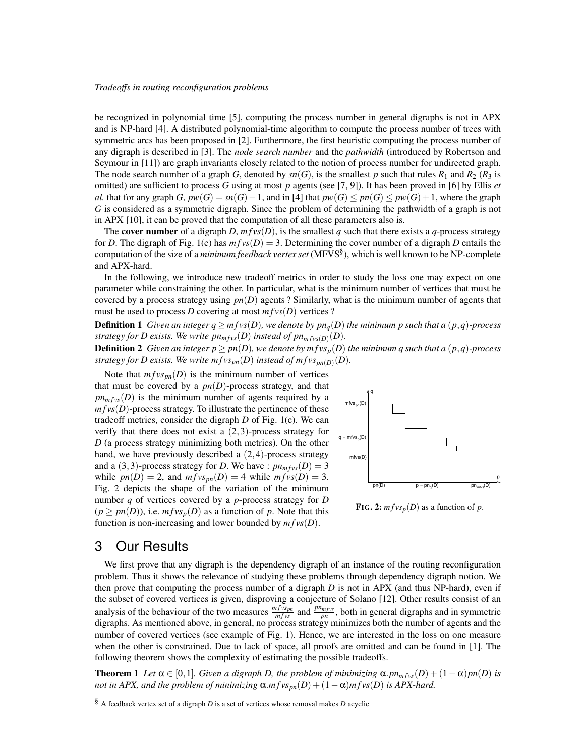be recognized in polynomial time [5], computing the process number in general digraphs is not in APX and is NP-hard [4]. A distributed polynomial-time algorithm to compute the process number of trees with symmetric arcs has been proposed in [2]. Furthermore, the first heuristic computing the process number of any digraph is described in [3]. The *node search number* and the *pathwidth* (introduced by Robertson and Seymour in [11]) are graph invariants closely related to the notion of process number for undirected graph. The node search number of a graph *G*, denoted by  $sn(G)$ , is the smallest *p* such that rules  $R_1$  and  $R_2$  ( $R_3$  is omitted) are sufficient to process *G* using at most *p* agents (see [7, 9]). It has been proved in [6] by Ellis *et al.* that for any graph *G*,  $pw(G) = sn(G) - 1$ , and in [4] that  $pw(G) \leq pn(G) \leq pw(G) + 1$ , where the graph *G* is considered as a symmetric digraph. Since the problem of determining the pathwidth of a graph is not in APX [10], it can be proved that the computation of all these parameters also is.

The **cover number** of a digraph *D*,  $m f v s(D)$ , is the smallest *q* such that there exists a *q*-process strategy for *D*. The digraph of Fig. 1(c) has  $m f v s(D) = 3$ . Determining the cover number of a digraph *D* entails the computation of the size of a *minimum feedback vertex set* (MFVS§ ), which is well known to be NP-complete and APX-hard.

In the following, we introduce new tradeoff metrics in order to study the loss one may expect on one parameter while constraining the other. In particular, what is the minimum number of vertices that must be covered by a process strategy using  $pn(D)$  agents? Similarly, what is the minimum number of agents that must be used to process *D* covering at most  $m f v s(D)$  vertices ?

**Definition 1** Given an integer  $q \geq m f v s(D)$ , we denote by  $p n_q(D)$  the minimum p such that a  $(p,q)$ -process *strategy for D exists. We write*  $p n_{m f v s}(D)$  *instead of*  $p n_{m f v s}(D)(D)$ *.* 

**Definition 2** Given an integer  $p \ge pn(D)$ , we denote by  $m f v s_p(D)$  the minimum q such that a  $(p,q)$ -process strategy for D exists. We write  $m f v s_{pn}(D)$  instead of  $m f v s_{pn(D)}(D)$ .

Note that  $m f v s_{nn}(D)$  is the minimum number of vertices that must be covered by a  $pn(D)$ -process strategy, and that  $p n<sub>m fvs</sub>(D)$  is the minimum number of agents required by a  $m f v s(D)$ -process strategy. To illustrate the pertinence of these tradeoff metrics, consider the digraph *D* of Fig. 1(c). We can verify that there does not exist a  $(2,3)$ -process strategy for *D* (a process strategy minimizing both metrics). On the other hand, we have previously described a  $(2,4)$ -process strategy and a (3,3)-process strategy for *D*. We have :  $pn_{m f v s}(D) = 3$ while  $pn(D) = 2$ , and  $m f v s_{pn}(D) = 4$  while  $m f v s(D) = 3$ . Fig. 2 depicts the shape of the variation of the minimum number *q* of vertices covered by a *p*-process strategy for *D*  $(p \ge pn(D))$ , i.e.  $m f v s_p(D)$  as a function of p. Note that this function is non-increasing and lower bounded by  $m f v s(D)$ .



FIG. 2:  $m f v s_p(D)$  as a function of *p*.

#### 3 Our Results

We first prove that any digraph is the dependency digraph of an instance of the routing reconfiguration problem. Thus it shows the relevance of studying these problems through dependency digraph notion. We then prove that computing the process number of a digraph *D* is not in APX (and thus NP-hard), even if the subset of covered vertices is given, disproving a conjecture of Solano [12]. Other results consist of an analysis of the behaviour of the two measures  $\frac{m f v s_{pn}}{m f v s}$  and  $\frac{p n_{m f v s}}{p n}$ , both in general digraphs and in symmetric digraphs. As mentioned above, in general, no process strategy minimizes both the number of agents and the number of covered vertices (see example of Fig. 1). Hence, we are interested in the loss on one measure when the other is constrained. Due to lack of space, all proofs are omitted and can be found in [1]. The following theorem shows the complexity of estimating the possible tradeoffs.

**Theorem 1** Let  $\alpha \in [0,1]$ *. Given a digraph D, the problem of minimizing*  $\alpha$ *, pn<sub>mfvs</sub>*(*D*) +  $(1-\alpha)$ *pn*(*D*) *is not in APX, and the problem of minimizing*  $\alpha.mfvs_{pn}(D) + (1-\alpha)mfvs(D)$  *is APX-hard.* 

<sup>§</sup> A feedback vertex set of a digraph *D* is a set of vertices whose removal makes *D* acyclic